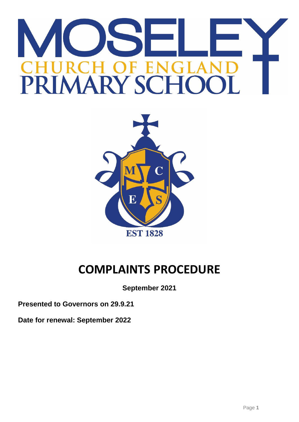# F F. RIMARY SC



# **COMPLAINTS PROCEDURE**

**September 2021**

**Presented to Governors on 29.9.21**

**Date for renewal: September 2022**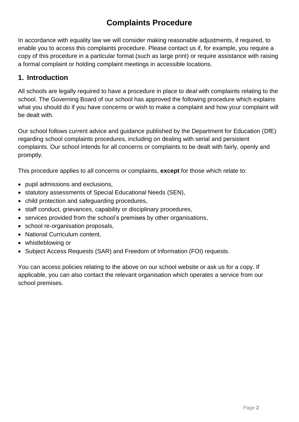# **Complaints Procedure**

In accordance with equality law we will consider making reasonable adjustments, if required, to enable you to access this complaints procedure. Please contact us if, for example, you require a copy of this procedure in a particular format (such as large print) or require assistance with raising a formal complaint or holding complaint meetings in accessible locations.

# **1. Introduction**

All schools are legally required to have a procedure in place to deal with complaints relating to the school. The Governing Board of our school has approved the following procedure which explains what you should do if you have concerns or wish to make a complaint and how your complaint will be dealt with.

Our school follows current advice and guidance published by the Department for Education (DfE) regarding school complaints procedures, including on dealing with serial and persistent complaints. Our school intends for all concerns or complaints to be dealt with fairly, openly and promptly.

This procedure applies to all concerns or complaints, **except** for those which relate to:

- pupil admissions and exclusions,
- statutory assessments of Special Educational Needs (SEN),
- child protection and safeguarding procedures,
- staff conduct, grievances, capability or disciplinary procedures,
- services provided from the school's premises by other organisations,
- school re-organisation proposals,
- National Curriculum content,
- whistleblowing or
- Subject Access Requests (SAR) and Freedom of Information (FOI) requests.

You can access policies relating to the above on our school website or ask us for a copy. If applicable, you can also contact the relevant organisation which operates a service from our school premises.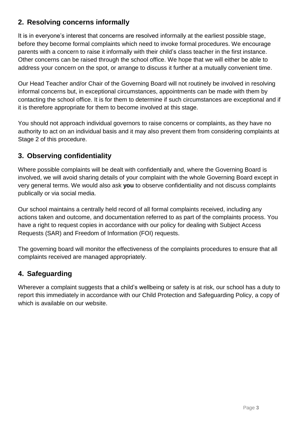# **2. Resolving concerns informally**

It is in everyone's interest that concerns are resolved informally at the earliest possible stage, before they become formal complaints which need to invoke formal procedures. We encourage parents with a concern to raise it informally with their child's class teacher in the first instance. Other concerns can be raised through the school office. We hope that we will either be able to address your concern on the spot, or arrange to discuss it further at a mutually convenient time.

Our Head Teacher and/or Chair of the Governing Board will not routinely be involved in resolving informal concerns but, in exceptional circumstances, appointments can be made with them by contacting the school office. It is for them to determine if such circumstances are exceptional and if it is therefore appropriate for them to become involved at this stage.

You should not approach individual governors to raise concerns or complaints, as they have no authority to act on an individual basis and it may also prevent them from considering complaints at Stage 2 of this procedure.

# **3. Observing confidentiality**

Where possible complaints will be dealt with confidentially and, where the Governing Board is involved, we will avoid sharing details of your complaint with the whole Governing Board except in very general terms. We would also ask **you** to observe confidentiality and not discuss complaints publically or via social media.

Our school maintains a centrally held record of all formal complaints received, including any actions taken and outcome, and documentation referred to as part of the complaints process. You have a right to request copies in accordance with our policy for dealing with Subject Access Requests (SAR) and Freedom of Information (FOI) requests.

The governing board will monitor the effectiveness of the complaints procedures to ensure that all complaints received are managed appropriately.

# **4. Safeguarding**

Wherever a complaint suggests that a child's wellbeing or safety is at risk, our school has a duty to report this immediately in accordance with our Child Protection and Safeguarding Policy, a copy of which is available on our website.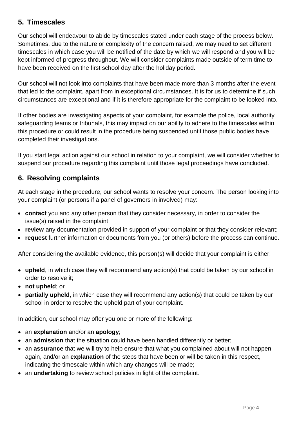# **5. Timescales**

Our school will endeavour to abide by timescales stated under each stage of the process below. Sometimes, due to the nature or complexity of the concern raised, we may need to set different timescales in which case you will be notified of the date by which we will respond and you will be kept informed of progress throughout. We will consider complaints made outside of term time to have been received on the first school day after the holiday period.

Our school will not look into complaints that have been made more than 3 months after the event that led to the complaint, apart from in exceptional circumstances. It is for us to determine if such circumstances are exceptional and if it is therefore appropriate for the complaint to be looked into.

If other bodies are investigating aspects of your complaint, for example the police, local authority safeguarding teams or tribunals, this may impact on our ability to adhere to the timescales within this procedure or could result in the procedure being suspended until those public bodies have completed their investigations.

If you start legal action against our school in relation to your complaint, we will consider whether to suspend our procedure regarding this complaint until those legal proceedings have concluded.

# **6. Resolving complaints**

At each stage in the procedure, our school wants to resolve your concern. The person looking into your complaint (or persons if a panel of governors in involved) may:

- **contact** you and any other person that they consider necessary, in order to consider the issue(s) raised in the complaint;
- **review** any documentation provided in support of your complaint or that they consider relevant;
- **request** further information or documents from you (or others) before the process can continue.

After considering the available evidence, this person(s) will decide that your complaint is either:

- **upheld**, in which case they will recommend any action(s) that could be taken by our school in order to resolve it;
- **not upheld**; or
- **partially upheld**, in which case they will recommend any action(s) that could be taken by our school in order to resolve the upheld part of your complaint.

In addition, our school may offer you one or more of the following:

- an **explanation** and/or an **apology**;
- an **admission** that the situation could have been handled differently or better;
- an **assurance** that we will try to help ensure that what you complained about will not happen again, and/or an **explanation** of the steps that have been or will be taken in this respect, indicating the timescale within which any changes will be made;
- an **undertaking** to review school policies in light of the complaint.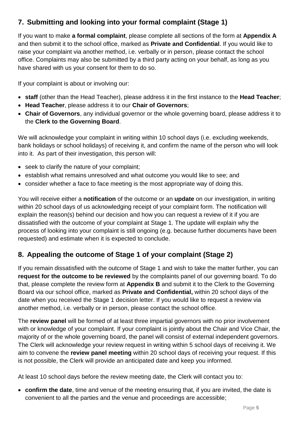# **7. Submitting and looking into your formal complaint (Stage 1)**

If you want to make **a formal complaint**, please complete all sections of the form at **Appendix A** and then submit it to the school office, marked as **Private and Confidential**. If you would like to raise your complaint via another method, i.e. verbally or in person, please contact the school office. Complaints may also be submitted by a third party acting on your behalf, as long as you have shared with us your consent for them to do so.

If your complaint is about or involving our:

- **staff** (other than the Head Teacher), please address it in the first instance to the **Head Teacher**;
- **Head Teacher**, please address it to our **Chair of Governors**;
- **Chair of Governors**, any individual governor or the whole governing board, please address it to the **Clerk to the Governing Board**.

We will acknowledge your complaint in writing within 10 school days (i.e. excluding weekends, bank holidays or school holidays) of receiving it, and confirm the name of the person who will look into it. As part of their investigation, this person will:

- seek to clarify the nature of your complaint;
- establish what remains unresolved and what outcome you would like to see; and
- consider whether a face to face meeting is the most appropriate way of doing this.

You will receive either a **notification** of the outcome or an **update** on our investigation, in writing within 20 school days of us acknowledging receipt of your complaint form. The notification will explain the reason(s) behind our decision and how you can request a review of it if you are dissatisfied with the outcome of your complaint at Stage 1. The update will explain why the process of looking into your complaint is still ongoing (e.g. because further documents have been requested) and estimate when it is expected to conclude.

# **8. Appealing the outcome of Stage 1 of your complaint (Stage 2)**

If you remain dissatisfied with the outcome of Stage 1 and wish to take the matter further, you can **request for the outcome to be reviewed** by the complaints panel of our governing board. To do that, please complete the review form at **Appendix B** and submit it to the Clerk to the Governing Board via our school office, marked as **Private and Confidential,** within 20 school days of the date when you received the Stage 1 decision letter. If you would like to request a review via another method, i.e. verbally or in person, please contact the school office.

The **review panel** will be formed of at least three impartial governors with no prior involvement with or knowledge of your complaint. If your complaint is jointly about the Chair and Vice Chair, the majority of or the whole governing board, the panel will consist of external independent governors. The Clerk will acknowledge your review request in writing within 5 school days of receiving it. We aim to convene the **review panel meeting** within 20 school days of receiving your request. If this is not possible, the Clerk will provide an anticipated date and keep you informed.

At least 10 school days before the review meeting date, the Clerk will contact you to:

 **confirm the date**, time and venue of the meeting ensuring that, if you are invited, the date is convenient to all the parties and the venue and proceedings are accessible;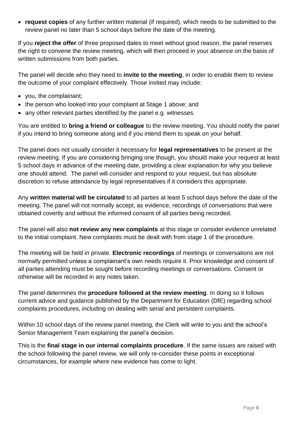**request copies** of any further written material (if required), which needs to be submitted to the review panel no later than 5 school days before the date of the meeting.

If you **reject the offer** of three proposed dates to meet without good reason, the panel reserves the right to convene the review meeting, which will then proceed in your absence on the basis of written submissions from both parties.

The panel will decide who they need to **invite to the meeting**, in order to enable them to review the outcome of your complaint effectively. Those invited may include:

- you, the complainant;
- the person who looked into your complaint at Stage 1 above; and
- any other relevant parties identified by the panel e.g. witnesses.

You are entitled to **bring a friend or colleague** to the review meeting. You should notify the panel if you intend to bring someone along and if you intend them to speak on your behalf.

The panel does not usually consider it necessary for **legal representatives** to be present at the review meeting. If you are considering bringing one though, you should make your request at least 5 school days in advance of the meeting date, providing a clear explanation for why you believe one should attend. The panel will consider and respond to your request, but has absolute discretion to refuse attendance by legal representatives if it considers this appropriate.

Any **written material will be circulated** to all parties at least 5 school days before the date of the meeting. The panel will not normally accept, as evidence, recordings of conversations that were obtained covertly and without the informed consent of all parties being recorded.

The panel will also **not review any new complaints** at this stage or consider evidence unrelated to the initial complaint. New complaints must be dealt with from stage 1 of the procedure.

The meeting will be held in private. **Electronic recordings** of meetings or conversations are not normally permitted unless a complainant's own needs require it. Prior knowledge and consent of all parties attending must be sought before recording meetings or conversations. Consent or otherwise will be recorded in any notes taken.

The panel determines the **procedure followed at the review meeting**. In doing so it follows current advice and guidance published by the Department for Education (DfE) regarding school complaints procedures, including on dealing with serial and persistent complaints.

Within 10 school days of the review panel meeting, the Clerk will write to you and the school's Senior Management Team explaining the panel's decision.

This is the **final stage in our internal complaints procedure**. If the same issues are raised with the school following the panel review, we will only re-consider these points in exceptional circumstances, for example where new evidence has come to light.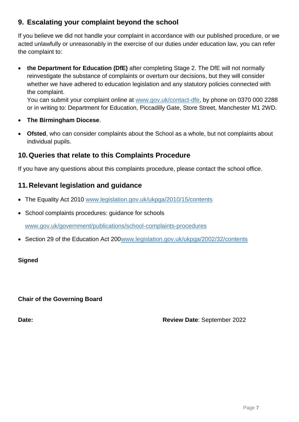# **9. Escalating your complaint beyond the school**

If you believe we did not handle your complaint in accordance with our published procedure, or we acted unlawfully or unreasonably in the exercise of our duties under education law, you can refer the complaint to:

 **the Department for Education (DfE)** after completing Stage 2. The DfE will not normally reinvestigate the substance of complaints or overturn our decisions, but they will consider whether we have adhered to education legislation and any statutory policies connected with the complaint.

You can submit your complaint online at [www.gov.uk/contact-dfe,](http://www.gov.uk/contact-dfe) by phone on 0370 000 2288 or in writing to: Department for Education, Piccadilly Gate, Store Street, Manchester M1 2WD.

- **The Birmingham Diocese**.
- **Ofsted**, who can consider complaints about the School as a whole, but not complaints about individual pupils.

## **10.Queries that relate to this Complaints Procedure**

If you have any questions about this complaints procedure, please contact the school office.

## **11.Relevant legislation and guidance**

- The Equality Act 2010 [www.legislation.gov.uk/ukpga/2010/15/contents](http://www.legislation.gov.uk/ukpga/2010/15/contents)
- School complaints procedures: guidance for schools

[www.gov.uk/government/publications/school-complaints-procedures](http://www.gov.uk/government/publications/school-complaints-procedures)

• Section 29 of the Education Act 200 www.legislation.gov.uk/ukpga/2002/32/contents

#### **Signed**

**Chair of the Governing Board**

**Date: Review Date**: September 2022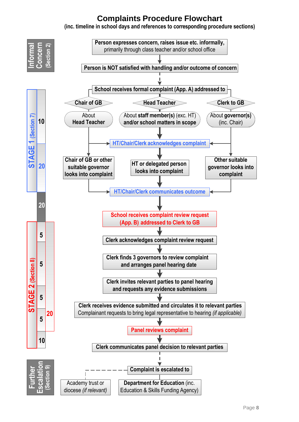# **Complaints Procedure Flowchart**

**(inc. timeline in school days and references to corresponding procedure sections)**

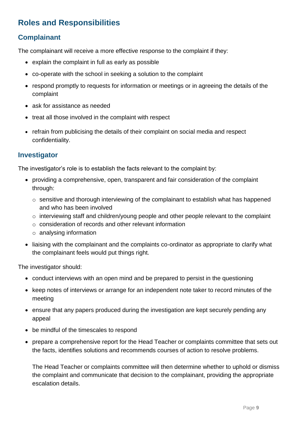# **Roles and Responsibilities**

# **Complainant**

The complainant will receive a more effective response to the complaint if they:

- explain the complaint in full as early as possible
- co-operate with the school in seeking a solution to the complaint
- respond promptly to requests for information or meetings or in agreeing the details of the complaint
- ask for assistance as needed
- treat all those involved in the complaint with respect
- refrain from publicising the details of their complaint on social media and respect confidentiality.

## **Investigator**

The investigator's role is to establish the facts relevant to the complaint by:

- providing a comprehensive, open, transparent and fair consideration of the complaint through:
	- o sensitive and thorough interviewing of the complainant to establish what has happened and who has been involved
	- o interviewing staff and children/young people and other people relevant to the complaint
	- o consideration of records and other relevant information
	- o analysing information
- liaising with the complainant and the complaints co-ordinator as appropriate to clarify what the complainant feels would put things right.

The investigator should:

- conduct interviews with an open mind and be prepared to persist in the questioning
- keep notes of interviews or arrange for an independent note taker to record minutes of the meeting
- ensure that any papers produced during the investigation are kept securely pending any appeal
- be mindful of the timescales to respond
- prepare a comprehensive report for the Head Teacher or complaints committee that sets out the facts, identifies solutions and recommends courses of action to resolve problems.

The Head Teacher or complaints committee will then determine whether to uphold or dismiss the complaint and communicate that decision to the complainant, providing the appropriate escalation details.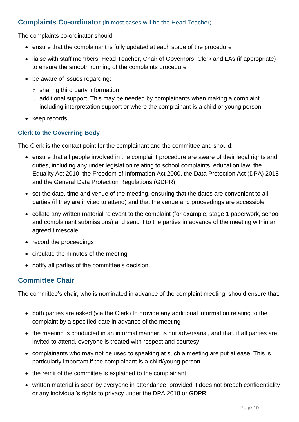## **Complaints Co-ordinator** (in most cases will be the Head Teacher)

The complaints co-ordinator should:

- ensure that the complainant is fully updated at each stage of the procedure
- liaise with staff members, Head Teacher, Chair of Governors, Clerk and LAs (if appropriate) to ensure the smooth running of the complaints procedure
- be aware of issues regarding:
	- $\circ$  sharing third party information
	- o additional support. This may be needed by complainants when making a complaint including interpretation support or where the complainant is a child or young person
- keep records.

#### **Clerk to the Governing Body**

The Clerk is the contact point for the complainant and the committee and should:

- ensure that all people involved in the complaint procedure are aware of their legal rights and duties, including any under legislation relating to school complaints, education law, the Equality Act 2010, the Freedom of Information Act 2000, the Data Protection Act (DPA) 2018 and the General Data Protection Regulations (GDPR)
- set the date, time and venue of the meeting, ensuring that the dates are convenient to all parties (if they are invited to attend) and that the venue and proceedings are accessible
- collate any written material relevant to the complaint (for example; stage 1 paperwork, school and complainant submissions) and send it to the parties in advance of the meeting within an agreed timescale
- record the proceedings
- circulate the minutes of the meeting
- notify all parties of the committee's decision.

## **Committee Chair**

The committee's chair, who is nominated in advance of the complaint meeting, should ensure that:

- both parties are asked (via the Clerk) to provide any additional information relating to the complaint by a specified date in advance of the meeting
- the meeting is conducted in an informal manner, is not adversarial, and that, if all parties are invited to attend, everyone is treated with respect and courtesy
- complainants who may not be used to speaking at such a meeting are put at ease. This is particularly important if the complainant is a child/young person
- the remit of the committee is explained to the complainant
- written material is seen by everyone in attendance, provided it does not breach confidentiality or any individual's rights to privacy under the DPA 2018 or GDPR.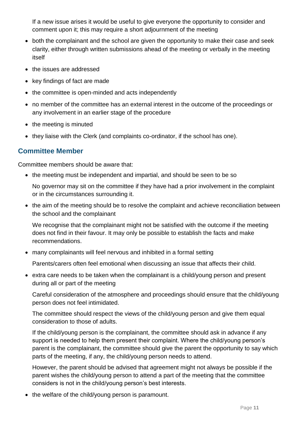If a new issue arises it would be useful to give everyone the opportunity to consider and comment upon it; this may require a short adjournment of the meeting

- both the complainant and the school are given the opportunity to make their case and seek clarity, either through written submissions ahead of the meeting or verbally in the meeting itself
- the issues are addressed
- key findings of fact are made
- the committee is open-minded and acts independently
- no member of the committee has an external interest in the outcome of the proceedings or any involvement in an earlier stage of the procedure
- the meeting is minuted
- they liaise with the Clerk (and complaints co-ordinator, if the school has one).

#### **Committee Member**

Committee members should be aware that:

• the meeting must be independent and impartial, and should be seen to be so

No governor may sit on the committee if they have had a prior involvement in the complaint or in the circumstances surrounding it.

• the aim of the meeting should be to resolve the complaint and achieve reconciliation between the school and the complainant

We recognise that the complainant might not be satisfied with the outcome if the meeting does not find in their favour. It may only be possible to establish the facts and make recommendations.

many complainants will feel nervous and inhibited in a formal setting

Parents/carers often feel emotional when discussing an issue that affects their child.

 extra care needs to be taken when the complainant is a child/young person and present during all or part of the meeting

Careful consideration of the atmosphere and proceedings should ensure that the child/young person does not feel intimidated.

The committee should respect the views of the child/young person and give them equal consideration to those of adults.

If the child/young person is the complainant, the committee should ask in advance if any support is needed to help them present their complaint. Where the child/young person's parent is the complainant, the committee should give the parent the opportunity to say which parts of the meeting, if any, the child/young person needs to attend.

However, the parent should be advised that agreement might not always be possible if the parent wishes the child/young person to attend a part of the meeting that the committee considers is not in the child/young person's best interests.

• the welfare of the child/young person is paramount.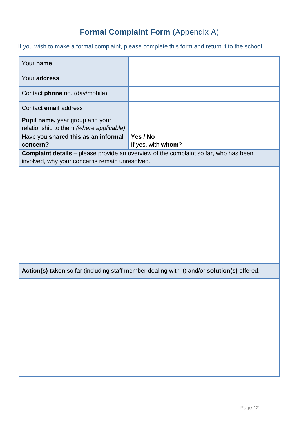# **Formal Complaint Form** (Appendix A)

If you wish to make a formal complaint, please complete this form and return it to the school.

| Your name                                                                                   |                                                                                             |  |
|---------------------------------------------------------------------------------------------|---------------------------------------------------------------------------------------------|--|
| Your address                                                                                |                                                                                             |  |
| Contact phone no. (day/mobile)                                                              |                                                                                             |  |
| Contact email address                                                                       |                                                                                             |  |
| Pupil name, year group and your<br>relationship to them (where applicable)                  |                                                                                             |  |
| Have you shared this as an informal<br>concern?                                             | Yes / No<br>If yes, with whom?                                                              |  |
|                                                                                             | <b>Complaint details</b> - please provide an overview of the complaint so far, who has been |  |
| involved, why your concerns remain unresolved.                                              |                                                                                             |  |
|                                                                                             |                                                                                             |  |
|                                                                                             |                                                                                             |  |
|                                                                                             |                                                                                             |  |
|                                                                                             |                                                                                             |  |
|                                                                                             |                                                                                             |  |
|                                                                                             |                                                                                             |  |
|                                                                                             |                                                                                             |  |
|                                                                                             |                                                                                             |  |
|                                                                                             |                                                                                             |  |
|                                                                                             |                                                                                             |  |
| Action(s) taken so far (including staff member dealing with it) and/or solution(s) offered. |                                                                                             |  |
|                                                                                             |                                                                                             |  |
|                                                                                             |                                                                                             |  |
|                                                                                             |                                                                                             |  |
|                                                                                             |                                                                                             |  |
|                                                                                             |                                                                                             |  |
|                                                                                             |                                                                                             |  |
|                                                                                             |                                                                                             |  |
|                                                                                             |                                                                                             |  |
|                                                                                             |                                                                                             |  |
|                                                                                             |                                                                                             |  |
|                                                                                             |                                                                                             |  |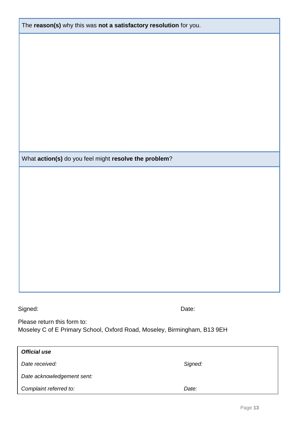| What action(s) do you feel might resolve the problem?                                                                                                                          |         |  |  |
|--------------------------------------------------------------------------------------------------------------------------------------------------------------------------------|---------|--|--|
|                                                                                                                                                                                |         |  |  |
|                                                                                                                                                                                |         |  |  |
|                                                                                                                                                                                |         |  |  |
|                                                                                                                                                                                |         |  |  |
|                                                                                                                                                                                |         |  |  |
|                                                                                                                                                                                |         |  |  |
|                                                                                                                                                                                |         |  |  |
|                                                                                                                                                                                |         |  |  |
|                                                                                                                                                                                |         |  |  |
|                                                                                                                                                                                |         |  |  |
| Signed:                                                                                                                                                                        | Date:   |  |  |
|                                                                                                                                                                                |         |  |  |
|                                                                                                                                                                                |         |  |  |
|                                                                                                                                                                                |         |  |  |
|                                                                                                                                                                                |         |  |  |
|                                                                                                                                                                                | Signed: |  |  |
| Please return this form to:<br>Moseley C of E Primary School, Oxford Road, Moseley, Birmingham, B13 9EH<br><b>Official use</b><br>Date received:<br>Date acknowledgement sent: |         |  |  |
| Complaint referred to:                                                                                                                                                         | Date:   |  |  |

The **reason(s)** why this was **not a satisfactory resolution** for you.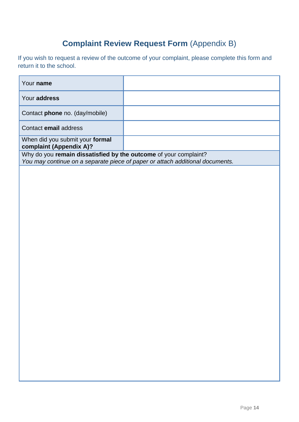# **Complaint Review Request Form** (Appendix B)

If you wish to request a review of the outcome of your complaint, please complete this form and return it to the school.

| Your name                                                                                                                                         |  |
|---------------------------------------------------------------------------------------------------------------------------------------------------|--|
| Your address                                                                                                                                      |  |
| Contact <b>phone</b> no. (day/mobile)                                                                                                             |  |
| Contact email address                                                                                                                             |  |
| When did you submit your formal<br>complaint (Appendix A)?                                                                                        |  |
| Why do you remain dissatisfied by the outcome of your complaint?<br>You may continue on a separate piece of paper or attach additional documents. |  |
|                                                                                                                                                   |  |